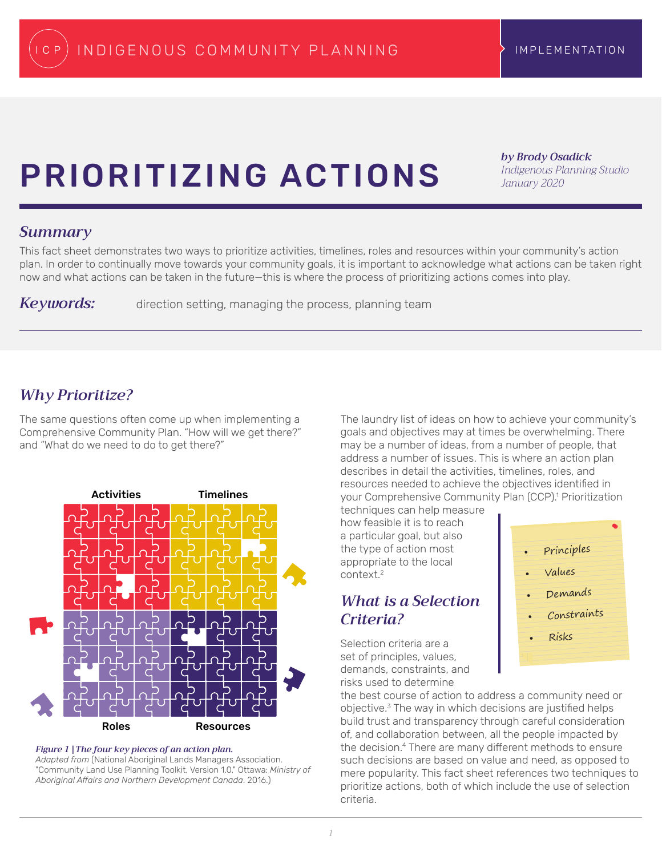# Prioritizing Actions

*by Brody Osadick Indigenous Planning Studio January 2020*

## *Summary*

This fact sheet demonstrates two ways to prioritize activities, timelines, roles and resources within your community's action plan. In order to continually move towards your community goals, it is important to acknowledge what actions can be taken right now and what actions can be taken in the future—this is where the process of prioritizing actions comes into play.

Keywords: direction setting, managing the process, planning team

# *Why Prioritize?*

The same questions often come up when implementing a Comprehensive Community Plan. "How will we get there?" and "What do we need to do to get there?"



*Figure 1 |The four key pieces of an action plan. Adapted from* (National Aboriginal Lands Managers Association.

"Community Land Use Planning Toolkit, Version 1.0." Ottawa: *Ministry of Aboriginal Affairs and Northern Development Canada*. 2016.)

The laundry list of ideas on how to achieve your community's goals and objectives may at times be overwhelming. There may be a number of ideas, from a number of people, that address a number of issues. This is where an action plan describes in detail the activities, timelines, roles, and resources needed to achieve the objectives identified in your Comprehensive Community Plan (CCP).1 Prioritization

techniques can help measure how feasible it is to reach a particular goal, but also the type of action most appropriate to the local context<sup>2</sup>

# *What is a Selection Criteria?*

Selection criteria are a set of principles, values, demands, constraints, and risks used to determine



the best course of action to address a community need or objective.3 The way in which decisions are justified helps build trust and transparency through careful consideration of, and collaboration between, all the people impacted by the decision.<sup>4</sup> There are many different methods to ensure such decisions are based on value and need, as opposed to mere popularity. This fact sheet references two techniques to prioritize actions, both of which include the use of selection criteria.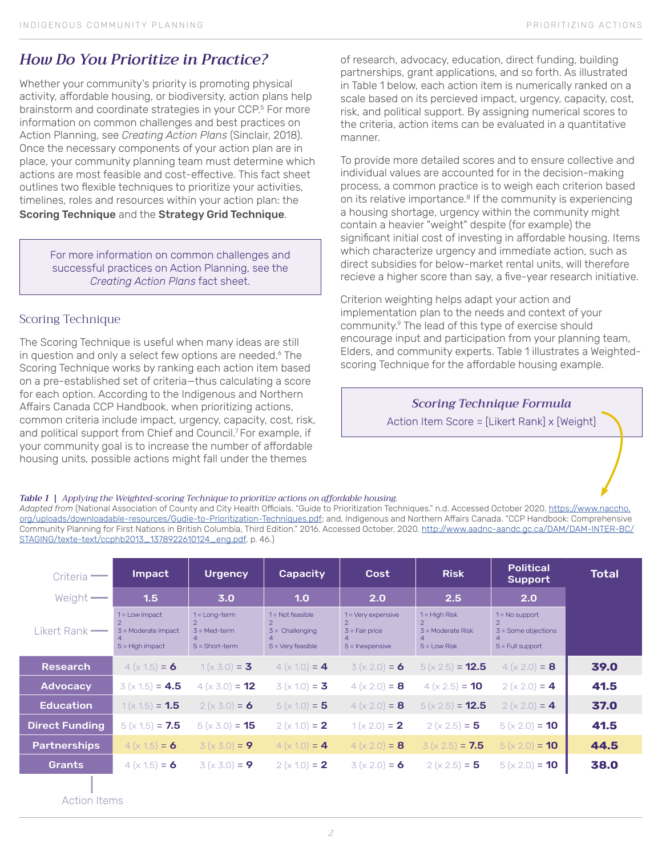# *How Do You Prioritize in Practice?*

Whether your community's priority is promoting physical activity, affordable housing, or biodiversity, action plans help brainstorm and coordinate strategies in your CCP.<sup>5</sup> For more information on common challenges and best practices on Action Planning, see *Creating Action Plans* (Sinclair, 2018). Once the necessary components of your action plan are in place, your community planning team must determine which actions are most feasible and cost-effective. This fact sheet outlines two flexible techniques to prioritize your activities, timelines, roles and resources within your action plan: the Scoring Technique and the Strategy Grid Technique.

For more information on common challenges and successful practices on Action Planning, see the *Creating Action Plans* fact sheet.

## Scoring Technique

The Scoring Technique is useful when many ideas are still in question and only a select few options are needed.<sup>6</sup> The Scoring Technique works by ranking each action item based on a pre-established set of criteria—thus calculating a score for each option. According to the Indigenous and Northern Affairs Canada CCP Handbook, when prioritizing actions, common criteria include impact, urgency, capacity, cost, risk, and political support from Chief and Council.<sup>7</sup> For example, if your community goal is to increase the number of affordable housing units, possible actions might fall under the themes

of research, advocacy, education, direct funding, building partnerships, grant applications, and so forth. As illustrated in Table 1 below, each action item is numerically ranked on a scale based on its percieved impact, urgency, capacity, cost, risk, and political support. By assigning numerical scores to the criteria, action items can be evaluated in a quantitative manner.

To provide more detailed scores and to ensure collective and individual values are accounted for in the decision-making process, a common practice is to weigh each criterion based on its relative importance.<sup>8</sup> If the community is experiencing a housing shortage, urgency within the community might contain a heavier "weight" despite (for example) the significant initial cost of investing in affordable housing. Items which characterize urgency and immediate action, such as direct subsidies for below-market rental units, will therefore recieve a higher score than say, a five-year research initiative.

Criterion weighting helps adapt your action and implementation plan to the needs and context of your community.9 The lead of this type of exercise should encourage input and participation from your planning team, Elders, and community experts. Table 1 illustrates a Weightedscoring Technique for the affordable housing example.

## *Scoring Technique Formula*

Action Item Score = [Likert Rank] x [Weight]

### *Table 1 | Applying the Weighted-scoring Technique to prioritize actions on affordable housing.*

*Adapted from* (National Association of County and City Health Officials. "Guide to Prioritization Techniques." n.d. Accessed October 2020. https://www.naccho. org/uploads/downloadable-resources/Gudie-to-Prioritization-Techniques.pdf; and, Indigenous and Northern Affairs Canada. "CCP Handbook: Comprehensive Community Planning for First Nations in British Columbia, Third Edition." 2016. Accessed October, 2020. http://www.aadnc-aandc.gc.ca/DAM/DAM-INTER-BC/ STAGING/texte-text/ccphb2013\_1378922610124\_eng.pdf, p. 46.)

| Criteria –                      | Impact                                                         | <b>Urgency</b>                                        | <b>Capacity</b>                                                | Cost                                                                 | <b>Risk</b>                                              | <b>Political</b><br><b>Support</b>                              | <b>Total</b> |
|---------------------------------|----------------------------------------------------------------|-------------------------------------------------------|----------------------------------------------------------------|----------------------------------------------------------------------|----------------------------------------------------------|-----------------------------------------------------------------|--------------|
| Weight $\longrightarrow$        | 1.5                                                            | 3.0                                                   | 1.0                                                            | 2.0                                                                  | 2.5                                                      | 2.0                                                             |              |
| $Likert Rank$ $\longrightarrow$ | $1 =$ Low impact<br>$3$ = Moderate impact<br>$5 =$ High impact | $1 = Long-term$<br>$3 = Med-term$<br>$5 = Short-term$ | $1 = Not feasible$<br>$3 =$ Challenging<br>$5 =$ Very feasible | $1 = \text{Very expensive}$<br>$3$ = Fair price<br>$5 =$ Inexpensive | $1 =$ High Risk<br>$3$ = Moderate Risk<br>$5 =$ Low Risk | $1 = No support$<br>$3 =$ Some objections<br>$5 =$ Full support |              |
| <b>Research</b>                 | $4(x 1.5) = 6$                                                 | $1(x 3.0) = 3$                                        | $4(x 1.0) = 4$                                                 | $3(x 2.0) = 6$                                                       | $5(x 2.5) = 12.5$                                        | $4(x 2.0) = 8$                                                  | 39.0         |
| <b>Advocacy</b>                 | $3(x 1.5) = 4.5$                                               | $4 (x 3.0) = 12$                                      | $3(x 1.0) = 3$                                                 | $4 (x 2.0) = 8$                                                      | $4(x 2.5) = 10$                                          | $2(x 2.0) = 4$                                                  | 41.5         |
| <b>Education</b>                | $1(x 1.5) = 1.5$                                               | $2(x 3.0) = 6$                                        | $5(x 1.0) = 5$                                                 | $4 (x 2.0) = 8$                                                      | $5(x 2.5) = 12.5$                                        | $2 (x 2.0) = 4$                                                 | 37.0         |
| <b>Direct Funding</b>           | $5(x 1.5) = 7.5$                                               | $5(x 3.0) = 15$                                       | $2(x 1.0) = 2$                                                 | $1(x 2.0) = 2$                                                       | $2(x 2.5) = 5$                                           | $5(x 2.0) = 10$                                                 | 41.5         |
| <b>Partnerships</b>             | $4(x 1.5) = 6$                                                 | $3(x 3.0) = 9$                                        | $4(x 1.0) = 4$                                                 | $4 (x 2.0) = 8$                                                      | $3(x 2.5) = 7.5$                                         | $5(x 2.0) = 10$                                                 | 44.5         |
| <b>Grants</b>                   | $4(x 1.5) = 6$                                                 | $3(x 3.0) = 9$                                        | $2(x 1.0) = 2$                                                 | $3(x 2.0) = 6$                                                       | $2(x 2.5) = 5$                                           | $5(x 2.0) = 10$                                                 | 38.0         |
|                                 |                                                                |                                                       |                                                                |                                                                      |                                                          |                                                                 |              |

Action Items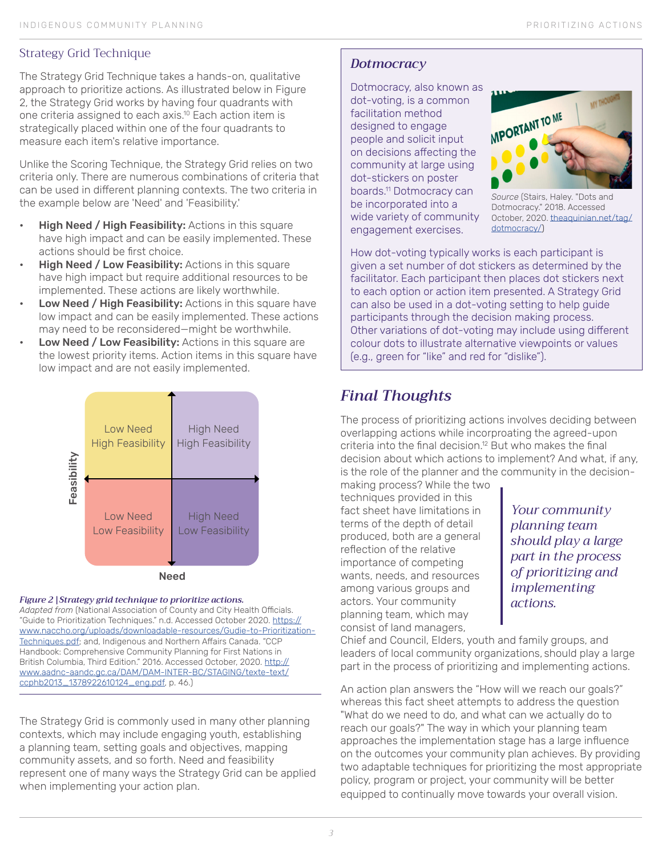## Strategy Grid Technique

The Strategy Grid Technique takes a hands-on, qualitative approach to prioritize actions. As illustrated below in Figure 2, the Strategy Grid works by having four quadrants with one criteria assigned to each axis.10 Each action item is strategically placed within one of the four quadrants to measure each item's relative importance.

Unlike the Scoring Technique, the Strategy Grid relies on two criteria only. There are numerous combinations of criteria that can be used in different planning contexts. The two criteria in the example below are 'Need' and 'Feasibility.'

- High Need / High Feasibility: Actions in this square have high impact and can be easily implemented. These actions should be first choice.
- High Need / Low Feasibility: Actions in this square have high impact but require additional resources to be implemented. These actions are likely worthwhile.
- Low Need / High Feasibility: Actions in this square have low impact and can be easily implemented. These actions may need to be reconsidered—might be worthwhile.
- Low Need / Low Feasibility: Actions in this square are the lowest priority items. Action items in this square have low impact and are not easily implemented.



## *Figure 2 |Strategy grid technique to prioritize actions.*

*Adapted from* (National Association of County and City Health Officials. "Guide to Prioritization Techniques." n.d. Accessed October 2020. https:// www.naccho.org/uploads/downloadable-resources/Gudie-to-Prioritization-Techniques.pdf; and, Indigenous and Northern Affairs Canada. "CCP Handbook: Comprehensive Community Planning for First Nations in British Columbia, Third Edition." 2016. Accessed October, 2020. http:// www.aadnc-aandc.gc.ca/DAM/DAM-INTER-BC/STAGING/texte-text/ ccphb2013\_1378922610124\_eng.pdf, p. 46.)

The Strategy Grid is commonly used in many other planning contexts, which may include engaging youth, establishing a planning team, setting goals and objectives, mapping community assets, and so forth. Need and feasibility represent one of many ways the Strategy Grid can be applied when implementing your action plan.

# *Dotmocracy*

Dotmocracy, also known as dot-voting, is a common facilitation method designed to engage people and solicit input on decisions affecting the community at large using dot-stickers on poster boards.11 Dotmocracy can be incorporated into a wide variety of community engagement exercises.



*Source* (Stairs, Haley. "Dots and Dotmocracy." 2018. Accessed October, 2020. theaquinian.net/tag/ dotmocracy/)

How dot-voting typically works is each participant is given a set number of dot stickers as determined by the facilitator. Each participant then places dot stickers next to each option or action item presented. A Strategy Grid can also be used in a dot-voting setting to help guide participants through the decision making process. Other variations of dot-voting may include using different colour dots to illustrate alternative viewpoints or values (e.g., green for "like" and red for "dislike").

# *Final Thoughts*

The process of prioritizing actions involves deciding between overlapping actions while incorproating the agreed-upon criteria into the final decision.<sup>12</sup> But who makes the final decision about which actions to implement? And what, if any, is the role of the planner and the community in the decision-

making process? While the two techniques provided in this fact sheet have limitations in terms of the depth of detail produced, both are a general reflection of the relative importance of competing wants, needs, and resources among various groups and actors. Your community planning team, which may consist of land managers,

*Your community planning team should play a large part in the process of prioritizing and implementing actions.*

Chief and Council, Elders, youth and family groups, and leaders of local community organizations, should play a large part in the process of prioritizing and implementing actions.

An action plan answers the "How will we reach our goals?" whereas this fact sheet attempts to address the question "What do we need to do, and what can we actually do to reach our goals?" The way in which your planning team approaches the implementation stage has a large influence on the outcomes your community plan achieves. By providing two adaptable techniques for prioritizing the most appropriate policy, program or project, your community will be better equipped to continually move towards your overall vision.